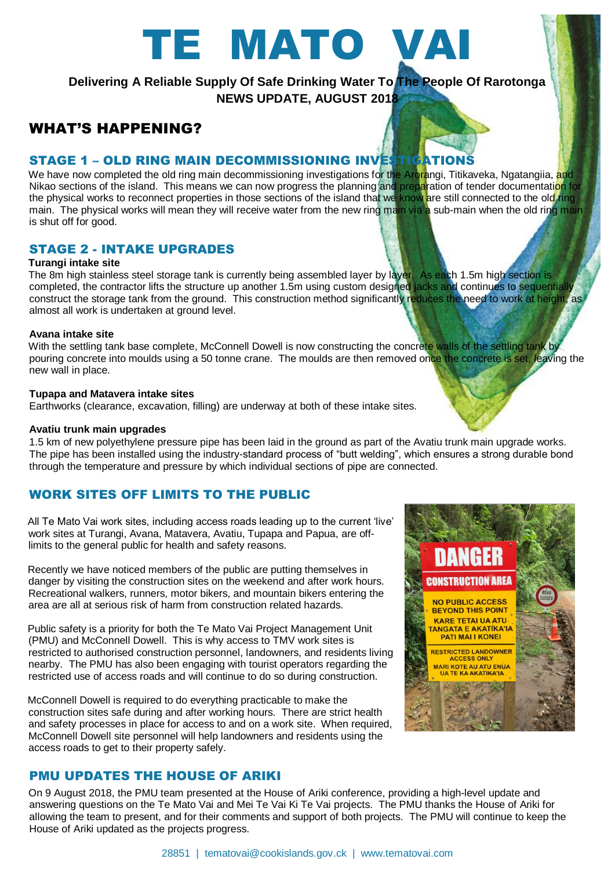# TE MATO VAI

**Delivering A Reliable Supply Of Safe Drinking Water To The People Of Rarotonga NEWS UPDATE, AUGUST 2018**

# WHAT'S HAPPENING?

# STAGE 1 – OLD RING MAIN DECOMMISSIONING INVESTIGATIONS

We have now completed the old ring main decommissioning investigations for the Arorangi, Titikaveka, Ngatangiia, and **Nikao sections of the island. This means we can now progress the planning and preparation of tender documentati<mark>on for</mark>** the physical works to reconnect properties in those sections of the island that we know are still connected to the old ring main. The physical works will mean they will receive water from the new ring main via a sub-main when the old ring main is shut off for good.

## STAGE 2 - INTAKE UPGRADES

## **Turangi intake site**

The 8m high stainless steel storage tank is currently being assembled layer by layer. As each 1.5m high section is completed, the contractor lifts the structure up another 1.5m using custom designed jacks and continues to sequentially construct the storage tank from the ground. This construction method significantly reduces the need to work at height, as almost all work is undertaken at ground level.

## **Avana intake site**

With the settling tank base complete, McConnell Dowell is now constructing the concrete walls of the settling tank by pouring concrete into moulds using a 50 tonne crane. The moulds are then removed once the concrete is set, leaving the new wall in place.

## **Tupapa and Matavera intake sites**

Earthworks (clearance, excavation, filling) are underway at both of these intake sites.

## **Avatiu trunk main upgrades**

1.5 km of new polyethylene pressure pipe has been laid in the ground as part of the Avatiu trunk main upgrade works. The pipe has been installed using the industry-standard process of "butt welding", which ensures a strong durable bond through the temperature and pressure by which individual sections of pipe are connected.

## WORK SITES OFF LIMITS TO THE PUBLIC

All Te Mato Vai work sites, including access roads leading up to the current 'live' work sites at Turangi, Avana, Matavera, Avatiu, Tupapa and Papua, are offlimits to the general public for health and safety reasons.

Recently we have noticed members of the public are putting themselves in danger by visiting the construction sites on the weekend and after work hours. Recreational walkers, runners, motor bikers, and mountain bikers entering the area are all at serious risk of harm from construction related hazards.

Public safety is a priority for both the Te Mato Vai Project Management Unit (PMU) and McConnell Dowell. This is why access to TMV work sites is restricted to authorised construction personnel, landowners, and residents living nearby. The PMU has also been engaging with tourist operators regarding the restricted use of access roads and will continue to do so during construction.

McConnell Dowell is required to do everything practicable to make the construction sites safe during and after working hours. There are strict health and safety processes in place for access to and on a work site. When required, McConnell Dowell site personnel will help landowners and residents using the access roads to get to their property safely.

# PMU UPDATES THE HOUSE OF ARIKI

On 9 August 2018, the PMU team presented at the House of Ariki conference, providing a high-level update and answering questions on the Te Mato Vai and Mei Te Vai Ki Te Vai projects. The PMU thanks the House of Ariki for allowing the team to present, and for their comments and support of both projects. The PMU will continue to keep the House of Ariki updated as the projects progress.



**DANGER** 

**CONSTRUCTION AREA** NO PUBLIC ACCESS **BEYOND THIS POINT KARE TETAI UA ATU TANGATA E AKATÍKA'IA PATI MAI I KONEI** RESTRICTED LANDOWNER MARI KOTE AU ATU ENUA